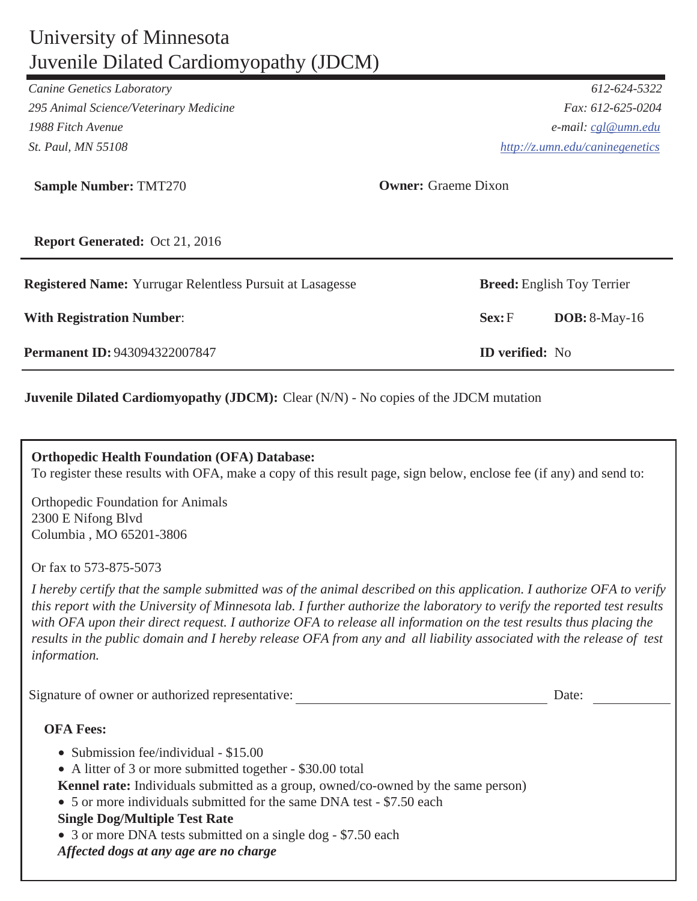## University of Minnesota Juvenile Dilated Cardiomyopathy (JDCM)

*Canine Genetics Laboratory 612-624-5322*

*295 Animal Science/Veterinary Medicine Fax: 612-625-0204 1988 Fitch Avenue e-mail: cgl@umn.edu St. Paul, MN 55108 http://z.umn.edu/caninegenetics*

| <b>Sample Number: TMT270</b> | Owner: |
|------------------------------|--------|
|------------------------------|--------|

**Owner:** Graeme Dixon

**Report Generated:** Oct 21, 2016

| <b>With Registration Number:</b>     | Sex: F                 | $DOB: 8-May-16$ |
|--------------------------------------|------------------------|-----------------|
| <b>Permanent ID: 943094322007847</b> | <b>ID</b> verified: No |                 |

**Juvenile Dilated Cardiomyopathy (JDCM):** Clear (N/N) - No copies of the JDCM mutation

### **Orthopedic Health Foundation (OFA) Database:**

To register these results with OFA, make a copy of this result page, sign below, enclose fee (if any) and send to:

Orthopedic Foundation for Animals 2300 E Nifong Blvd Columbia , MO 65201-3806

Or fax to 573-875-5073

*I hereby certify that the sample submitted was of the animal described on this application. I authorize OFA to verify this report with the University of Minnesota lab. I further authorize the laboratory to verify the reported test results with OFA upon their direct request. I authorize OFA to release all information on the test results thus placing the results in the public domain and I hereby release OFA from any and all liability associated with the release of test information.* 

Signature of owner or authorized representative: Date:

## **OFA Fees:**

- Submission fee/individual \$15.00
- A litter of 3 or more submitted together \$30.00 total
- **Kennel rate:** Individuals submitted as a group, owned/co-owned by the same person)
- 5 or more individuals submitted for the same DNA test \$7.50 each

## **Single Dog/Multiple Test Rate**

• 3 or more DNA tests submitted on a single dog - \$7.50 each

 *Affected dogs at any age are no charge*